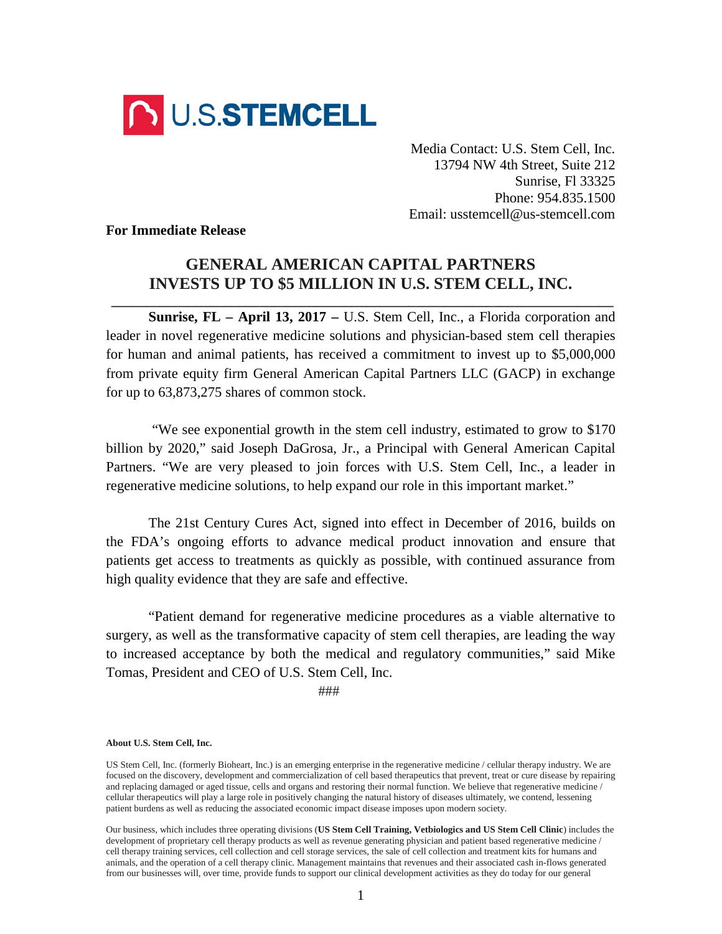

Media Contact: U.S. Stem Cell, Inc. 13794 NW 4th Street, Suite 212 Sunrise, Fl 33325 Phone: 954.835.1500 Email: usstemcell@us-stemcell.com

**For Immediate Release**

## **GENERAL AMERICAN CAPITAL PARTNERS INVESTS UP TO \$5 MILLION IN U.S. STEM CELL, INC.**

**\_\_\_\_\_\_\_\_\_\_\_\_\_\_\_\_\_\_\_\_\_\_\_\_\_\_\_\_\_\_\_\_\_\_\_\_\_\_\_\_\_\_\_\_\_\_\_\_\_\_\_\_\_\_\_\_\_\_\_\_\_\_\_\_\_\_\_\_\_\_\_**

**Sunrise, FL – April 13, 2017 –** U.S. Stem Cell, Inc., a Florida corporation and leader in novel regenerative medicine solutions and physician-based stem cell therapies for human and animal patients, has received a commitment to invest up to \$5,000,000 from private equity firm General American Capital Partners LLC (GACP) in exchange for up to 63,873,275 shares of common stock.

"We see exponential growth in the stem cell industry, estimated to grow to \$170 billion by 2020," said Joseph DaGrosa, Jr., a Principal with General American Capital Partners. "We are very pleased to join forces with U.S. Stem Cell, Inc., a leader in regenerative medicine solutions, to help expand our role in this important market."

The 21st Century Cures Act, signed into effect in December of 2016, builds on the FDA's ongoing efforts to advance medical product innovation and ensure that patients get access to treatments as quickly as possible, with continued assurance from high quality evidence that they are safe and effective.

"Patient demand for regenerative medicine procedures as a viable alternative to surgery, as well as the transformative capacity of stem cell therapies, are leading the way to increased acceptance by both the medical and regulatory communities," said Mike Tomas, President and CEO of U.S. Stem Cell, Inc.

###

## **About U.S. Stem Cell, Inc.**

US Stem Cell, Inc. (formerly Bioheart, Inc.) is an emerging enterprise in the regenerative medicine / cellular therapy industry. We are focused on the discovery, development and commercialization of cell based therapeutics that prevent, treat or cure disease by repairing and replacing damaged or aged tissue, cells and organs and restoring their normal function. We believe that regenerative medicine / cellular therapeutics will play a large role in positively changing the natural history of diseases ultimately, we contend, lessening patient burdens as well as reducing the associated economic impact disease imposes upon modern society.

Our business, which includes three operating divisions (**US Stem Cell Training, Vetbiologics and US Stem Cell Clinic**) includes the development of proprietary cell therapy products as well as revenue generating physician and patient based regenerative medicine / cell therapy training services, cell collection and cell storage services, the sale of cell collection and treatment kits for humans and animals, and the operation of a cell therapy clinic. Management maintains that revenues and their associated cash in-flows generated from our businesses will, over time, provide funds to support our clinical development activities as they do today for our general